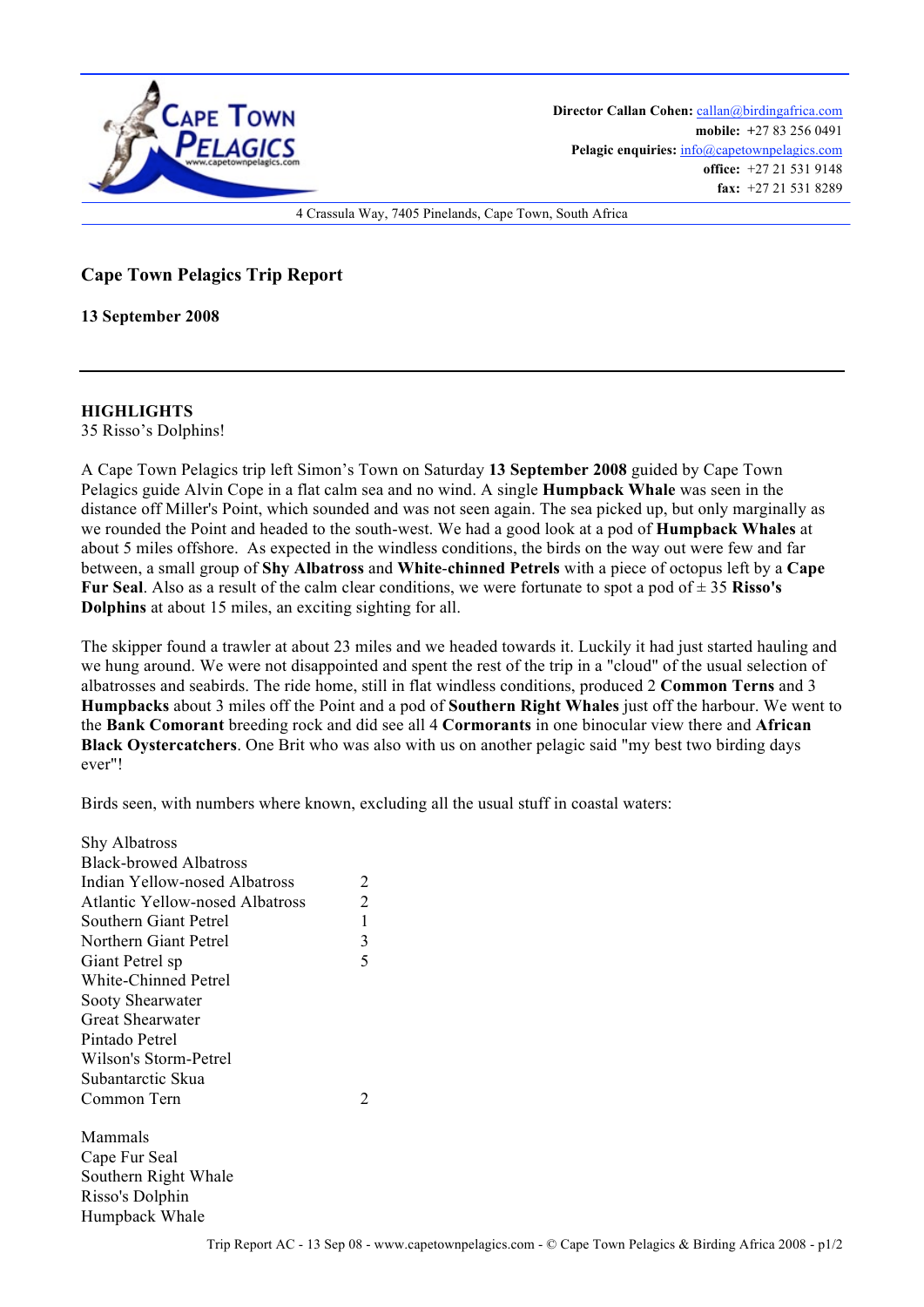

Director Callan Cohen: callan@birdingafrica.com **mobile: +**27 83 256 0491 Pelagic enquiries:  $info@capetownpelagics.com$ **office:** +27 21 531 9148 **fax:** +27 21 531 8289

4 Crassula Way, 7405 Pinelands, Cape Town, South Africa

**Cape Town Pelagics Trip Report** 

**13 September 2008**

**HIGHLIGHTS**

35 Risso's Dolphins!

A Cape Town Pelagics trip left Simon's Town on Saturday **13 September 2008** guided by Cape Town Pelagics guide Alvin Cope in a flat calm sea and no wind. A single **Humpback Whale** was seen in the distance off Miller's Point, which sounded and was not seen again. The sea picked up, but only marginally as we rounded the Point and headed to the south-west. We had a good look at a pod of **Humpback Whales** at about 5 miles offshore. As expected in the windless conditions, the birds on the way out were few and far between, a small group of **Shy Albatross** and **White**-**chinned Petrels** with a piece of octopus left by a **Cape Fur Seal.** Also as a result of the calm clear conditions, we were fortunate to spot a pod of  $\pm$  35 **Risso's Dolphins** at about 15 miles, an exciting sighting for all.

The skipper found a trawler at about 23 miles and we headed towards it. Luckily it had just started hauling and we hung around. We were not disappointed and spent the rest of the trip in a "cloud" of the usual selection of albatrosses and seabirds. The ride home, still in flat windless conditions, produced 2 **Common Terns** and 3 **Humpbacks** about 3 miles off the Point and a pod of **Southern Right Whales** just off the harbour. We went to the **Bank Comorant** breeding rock and did see all 4 **Cormorants** in one binocular view there and **African Black Oystercatchers**. One Brit who was also with us on another pelagic said "my best two birding days ever"!

Birds seen, with numbers where known, excluding all the usual stuff in coastal waters:

| <b>Shy Albatross</b>            |   |
|---------------------------------|---|
| <b>Black-browed Albatross</b>   |   |
| Indian Yellow-nosed Albatross   | 2 |
| Atlantic Yellow-nosed Albatross | 2 |
| Southern Giant Petrel           | 1 |
| Northern Giant Petrel           | 3 |
| Giant Petrel sp                 | 5 |
| White-Chinned Petrel            |   |
| Sooty Shearwater                |   |
| Great Shearwater                |   |
| Pintado Petrel                  |   |
| Wilson's Storm-Petrel           |   |
| Subantarctic Skua               |   |
| Common Tern                     | 2 |
| Mammals                         |   |
| Cape Fur Seal                   |   |
| Southern Right Whale            |   |
| Risso's Dolphin                 |   |
| Humpback Whale                  |   |